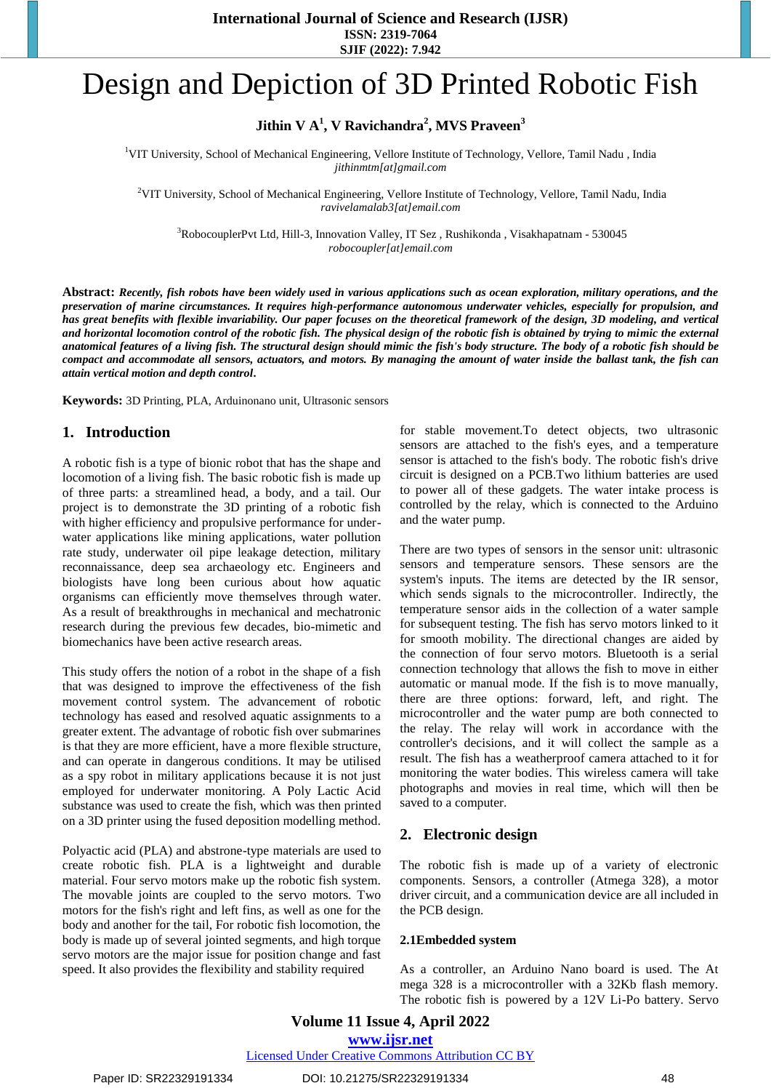# Design and Depiction of 3D Printed Robotic Fish

**Jithin V A<sup>1</sup> , V Ravichandra<sup>2</sup> , MVS Praveen<sup>3</sup>**

<sup>1</sup>VIT University, School of Mechanical Engineering, Vellore Institute of Technology, Vellore, Tamil Nadu, India *jithinmtm[at]gmail.com*

<sup>2</sup>VIT University, School of Mechanical Engineering, Vellore Institute of Technology, Vellore, Tamil Nadu, India *[ravivelamalab3\[at\]email.com](mailto:Ravivelamalab3@email.com)*

<sup>3</sup>RobocouplerPvt Ltd, Hill-3, Innovation Valley, IT Sez , Rushikonda , Visakhapatnam - 530045 *[robocoupler\[at\]email.com](mailto:Robocoupler@email.com)*

**Abstract:** *Recently, fish robots have been widely used in various applications such as ocean exploration, military operations, and the preservation of marine circumstances. It requires high-performance autonomous underwater vehicles, especially for propulsion, and*  has great benefits with flexible invariability. Our paper focuses on the theoretical framework of the design, 3D modeling, and vertical *and horizontal locomotion control of the robotic fish. The physical design of the robotic fish is obtained by trying to mimic the external anatomical features of a living fish. The structural design should mimic the fish's body structure. The body of a robotic fish should be compact and accommodate all sensors, actuators, and motors. By managing the amount of water inside the ballast tank, the fish can attain vertical motion and depth control***.**

**Keywords:** 3D Printing, PLA, Arduinonano unit, Ultrasonic sensors

#### **1. Introduction**

A robotic fish is a type of bionic robot that has the shape and locomotion of a living fish. The basic robotic fish is made up of three parts: a streamlined head, a body, and a tail. Our project is to demonstrate the 3D printing of a robotic fish with higher efficiency and propulsive performance for underwater applications like mining applications, water pollution rate study, underwater oil pipe leakage detection, military reconnaissance, deep sea archaeology etc. Engineers and biologists have long been curious about how aquatic organisms can efficiently move themselves through water. As a result of breakthroughs in mechanical and mechatronic research during the previous few decades, bio-mimetic and biomechanics have been active research areas.

This study offers the notion of a robot in the shape of a fish that was designed to improve the effectiveness of the fish movement control system. The advancement of robotic technology has eased and resolved aquatic assignments to a greater extent. The advantage of robotic fish over submarines is that they are more efficient, have a more flexible structure, and can operate in dangerous conditions. It may be utilised as a spy robot in military applications because it is not just employed for underwater monitoring. A Poly Lactic Acid substance was used to create the fish, which was then printed on a 3D printer using the fused deposition modelling method.

Polyactic acid (PLA) and abstrone-type materials are used to create robotic fish. PLA is a lightweight and durable material. Four servo motors make up the robotic fish system. The movable joints are coupled to the servo motors. Two motors for the fish's right and left fins, as well as one for the body and another for the tail, For robotic fish locomotion, the body is made up of several jointed segments, and high torque servo motors are the major issue for position change and fast speed. It also provides the flexibility and stability required

for stable movement.To detect objects, two ultrasonic sensors are attached to the fish's eyes, and a temperature sensor is attached to the fish's body. The robotic fish's drive circuit is designed on a PCB.Two lithium batteries are used to power all of these gadgets. The water intake process is controlled by the relay, which is connected to the Arduino and the water pump.

There are two types of sensors in the sensor unit: ultrasonic sensors and temperature sensors. These sensors are the system's inputs. The items are detected by the IR sensor, which sends signals to the microcontroller. Indirectly, the temperature sensor aids in the collection of a water sample for subsequent testing. The fish has servo motors linked to it for smooth mobility. The directional changes are aided by the connection of four servo motors. Bluetooth is a serial connection technology that allows the fish to move in either automatic or manual mode. If the fish is to move manually, there are three options: forward, left, and right. The microcontroller and the water pump are both connected to the relay. The relay will work in accordance with the controller's decisions, and it will collect the sample as a result. The fish has a weatherproof camera attached to it for monitoring the water bodies. This wireless camera will take photographs and movies in real time, which will then be saved to a computer.

#### **2. Electronic design**

The robotic fish is made up of a variety of electronic components. Sensors, a controller (Atmega 328), a motor driver circuit, and a communication device are all included in the PCB design.

#### **2.1Embedded system**

As a controller, an Arduino Nano board is used. The At mega 328 is a microcontroller with a 32Kb flash memory. The robotic fish is powered by a 12V Li-Po battery. Servo

**Volume 11 Issue 4, April 2022 www.ijsr.net** Licensed Under Creative Commons Attribution CC BY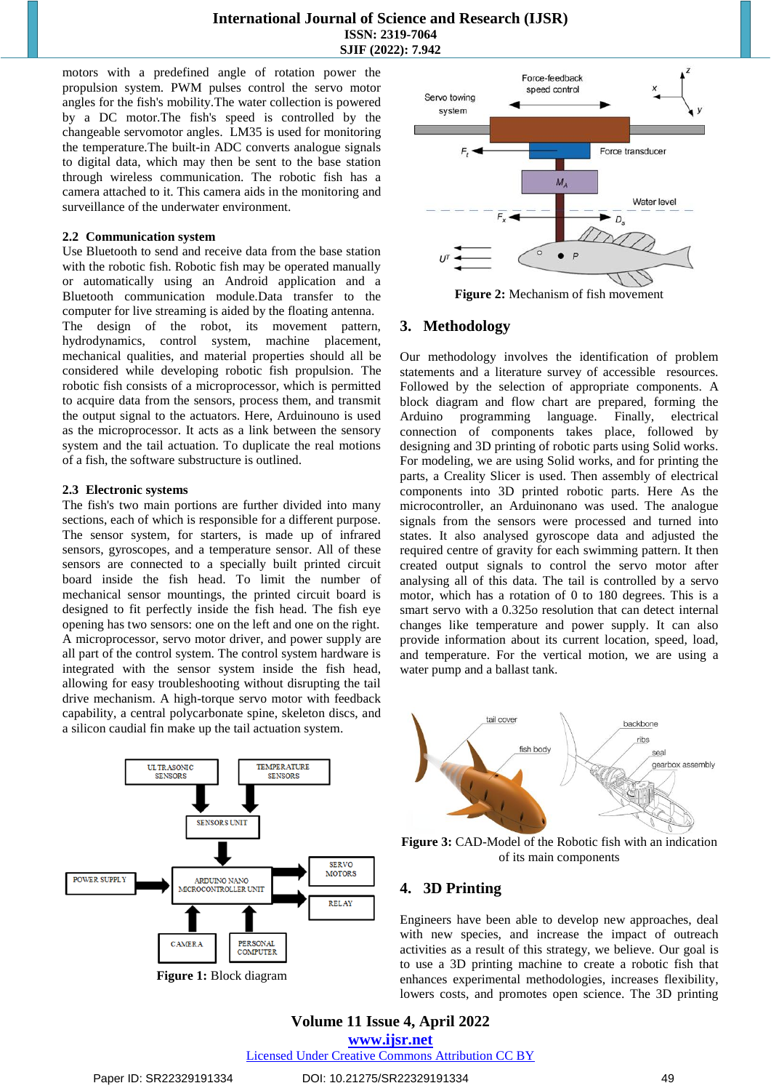motors with a predefined angle of rotation power the propulsion system. PWM pulses control the servo motor angles for the fish's mobility.The water collection is powered by a DC motor.The fish's speed is controlled by the changeable servomotor angles. LM35 is used for monitoring the temperature.The built-in ADC converts analogue signals to digital data, which may then be sent to the base station through wireless communication. The robotic fish has a camera attached to it. This camera aids in the monitoring and surveillance of the underwater environment.

#### **2.2 Communication system**

Use Bluetooth to send and receive data from the base station with the robotic fish. Robotic fish may be operated manually or automatically using an Android application and a Bluetooth communication module.Data transfer to the computer for live streaming is aided by the floating antenna. The design of the robot, its movement pattern, hydrodynamics, control system, machine placement, mechanical qualities, and material properties should all be considered while developing robotic fish propulsion. The robotic fish consists of a microprocessor, which is permitted to acquire data from the sensors, process them, and transmit the output signal to the actuators. Here, Arduinouno is used as the microprocessor. It acts as a link between the sensory system and the tail actuation. To duplicate the real motions of a fish, the software substructure is outlined.

#### **2.3 Electronic systems**

The fish's two main portions are further divided into many sections, each of which is responsible for a different purpose. The sensor system, for starters, is made up of infrared sensors, gyroscopes, and a temperature sensor. All of these sensors are connected to a specially built printed circuit board inside the fish head. To limit the number of mechanical sensor mountings, the printed circuit board is designed to fit perfectly inside the fish head. The fish eye opening has two sensors: one on the left and one on the right. A microprocessor, servo motor driver, and power supply are all part of the control system. The control system hardware is integrated with the sensor system inside the fish head, allowing for easy troubleshooting without disrupting the tail drive mechanism. A high-torque servo motor with feedback capability, a central polycarbonate spine, skeleton discs, and a silicon caudial fin make up the tail actuation system.



**Figure 1:** Block diagram



**Figure 2:** Mechanism of fish movement

# **3. Methodology**

Our methodology involves the identification of problem statements and a literature survey of accessible resources. Followed by the selection of appropriate components. A block diagram and flow chart are prepared, forming the Arduino programming language. Finally, electrical connection of components takes place, followed by designing and 3D printing of robotic parts using Solid works. For modeling, we are using Solid works, and for printing the parts, a Creality Slicer is used. Then assembly of electrical components into 3D printed robotic parts. Here As the microcontroller, an Arduinonano was used. The analogue signals from the sensors were processed and turned into states. It also analysed gyroscope data and adjusted the required centre of gravity for each swimming pattern. It then created output signals to control the servo motor after analysing all of this data. The tail is controlled by a servo motor, which has a rotation of 0 to 180 degrees. This is a smart servo with a 0.325o resolution that can detect internal changes like temperature and power supply. It can also provide information about its current location, speed, load, and temperature. For the vertical motion, we are using a water pump and a ballast tank.



**Figure 3:** CAD-Model of the Robotic fish with an indication of its main components

## **4. 3D Printing**

Engineers have been able to develop new approaches, deal with new species, and increase the impact of outreach activities as a result of this strategy, we believe. Our goal is to use a 3D printing machine to create a robotic fish that enhances experimental methodologies, increases flexibility, lowers costs, and promotes open science. The 3D printing

# **Volume 11 Issue 4, April 2022 www.ijsr.net**

Licensed Under Creative Commons Attribution CC BY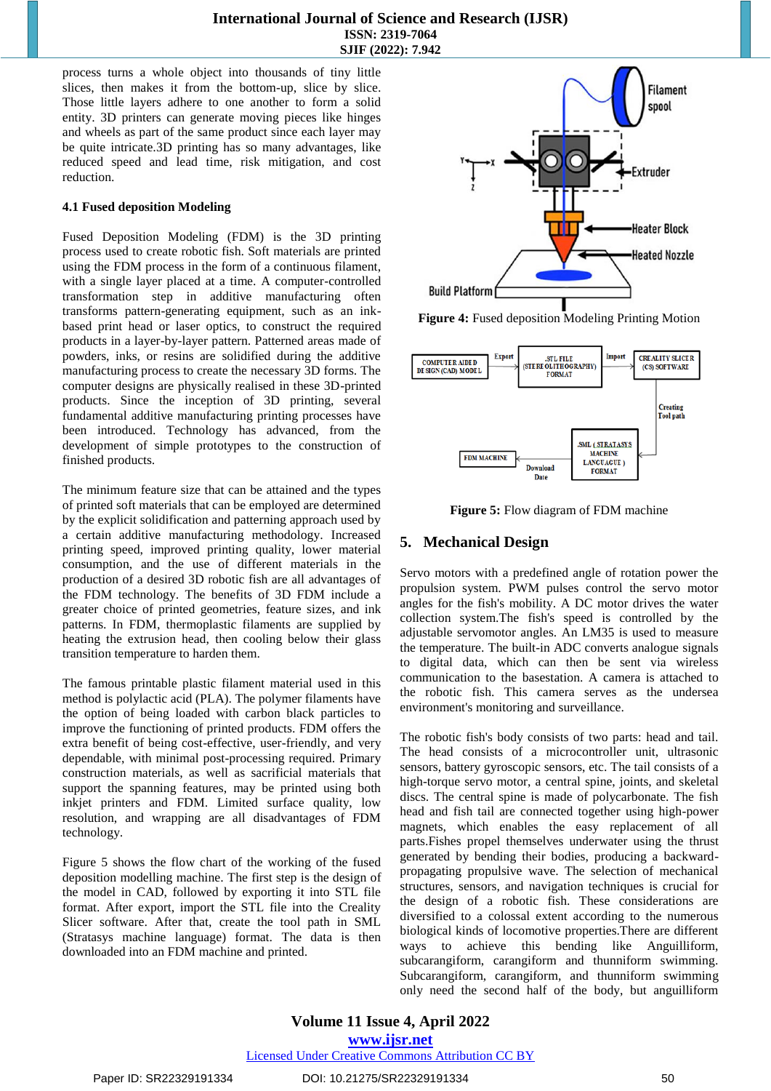process turns a whole object into thousands of tiny little slices, then makes it from the bottom-up, slice by slice. Those little layers adhere to one another to form a solid entity. 3D printers can generate moving pieces like hinges and wheels as part of the same product since each layer may be quite intricate.3D printing has so many advantages, like reduced speed and lead time, risk mitigation, and cost reduction.

#### **4.1 Fused deposition Modeling**

Fused Deposition Modeling (FDM) is the 3D printing process used to create robotic fish. Soft materials are printed using the FDM process in the form of a continuous filament, with a single layer placed at a time. A computer-controlled transformation step in additive manufacturing often transforms pattern-generating equipment, such as an inkbased print head or laser optics, to construct the required products in a layer-by-layer pattern. Patterned areas made of powders, inks, or resins are solidified during the additive manufacturing process to create the necessary 3D forms. The computer designs are physically realised in these 3D-printed products. Since the inception of 3D printing, several fundamental additive manufacturing printing processes have been introduced. Technology has advanced, from the development of simple prototypes to the construction of finished products.

The minimum feature size that can be attained and the types of printed soft materials that can be employed are determined by the explicit solidification and patterning approach used by a certain additive manufacturing methodology. Increased printing speed, improved printing quality, lower material consumption, and the use of different materials in the production of a desired 3D robotic fish are all advantages of the FDM technology. The benefits of 3D FDM include a greater choice of printed geometries, feature sizes, and ink patterns. In FDM, thermoplastic filaments are supplied by heating the extrusion head, then cooling below their glass transition temperature to harden them.

The famous printable plastic filament material used in this method is polylactic acid (PLA). The polymer filaments have the option of being loaded with carbon black particles to improve the functioning of printed products. FDM offers the extra benefit of being cost-effective, user-friendly, and very dependable, with minimal post-processing required. Primary construction materials, as well as sacrificial materials that support the spanning features, may be printed using both inkjet printers and FDM. Limited surface quality, low resolution, and wrapping are all disadvantages of FDM technology.

Figure 5 shows the flow chart of the working of the fused deposition modelling machine. The first step is the design of the model in CAD, followed by exporting it into STL file format. After export, import the STL file into the Creality Slicer software. After that, create the tool path in SML (Stratasys machine language) format. The data is then downloaded into an FDM machine and printed.



**Figure 4:** Fused deposition Modeling Printing Motion



**Figure 5:** Flow diagram of FDM machine

# **5. Mechanical Design**

Servo motors with a predefined angle of rotation power the propulsion system. PWM pulses control the servo motor angles for the fish's mobility. A DC motor drives the water collection system.The fish's speed is controlled by the adjustable servomotor angles. An LM35 is used to measure the temperature. The built-in ADC converts analogue signals to digital data, which can then be sent via wireless communication to the basestation. A camera is attached to the robotic fish. This camera serves as the undersea environment's monitoring and surveillance.

The robotic fish's body consists of two parts: head and tail. The head consists of a microcontroller unit, ultrasonic sensors, battery gyroscopic sensors, etc. The tail consists of a high-torque servo motor, a central spine, joints, and skeletal discs. The central spine is made of polycarbonate. The fish head and fish tail are connected together using high-power magnets, which enables the easy replacement of all parts.Fishes propel themselves underwater using the thrust generated by bending their bodies, producing a backwardpropagating propulsive wave. The selection of mechanical structures, sensors, and navigation techniques is crucial for the design of a robotic fish. These considerations are diversified to a colossal extent according to the numerous biological kinds of locomotive properties.There are different ways to achieve this bending like Anguilliform, subcarangiform, carangiform and thunniform swimming. Subcarangiform, carangiform, and thunniform swimming only need the second half of the body, but anguilliform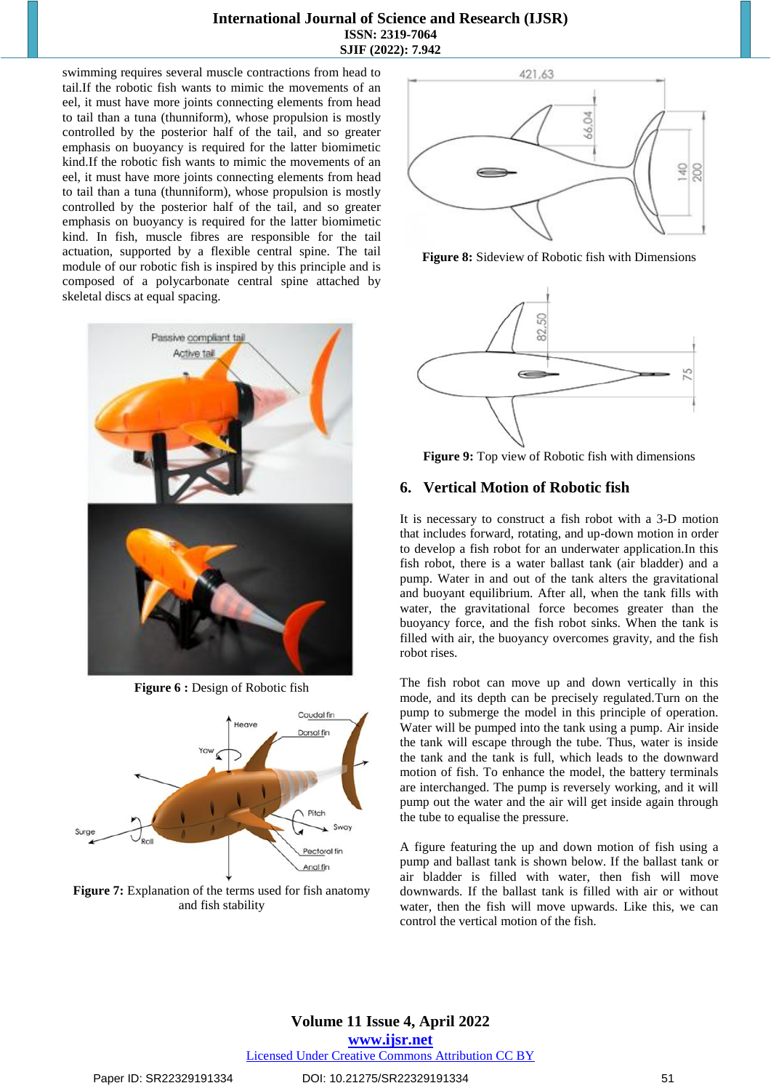swimming requires several muscle contractions from head to tail.If the robotic fish wants to mimic the movements of an eel, it must have more joints connecting elements from head to tail than a tuna (thunniform), whose propulsion is mostly controlled by the posterior half of the tail, and so greater emphasis on buoyancy is required for the latter biomimetic kind.If the robotic fish wants to mimic the movements of an eel, it must have more joints connecting elements from head to tail than a tuna (thunniform), whose propulsion is mostly controlled by the posterior half of the tail, and so greater emphasis on buoyancy is required for the latter biomimetic kind. In fish, muscle fibres are responsible for the tail actuation, supported by a flexible central spine. The tail module of our robotic fish is inspired by this principle and is composed of a polycarbonate central spine attached by skeletal discs at equal spacing.



**Figure 6 :** Design of Robotic fish



**Figure 7:** Explanation of the terms used for fish anatomy and fish stability



**Figure 8:** Sideview of Robotic fish with Dimensions



**Figure 9:** Top view of Robotic fish with dimensions

## **6. Vertical Motion of Robotic fish**

It is necessary to construct a fish robot with a 3-D motion that includes forward, rotating, and up-down motion in order to develop a fish robot for an underwater application.In this fish robot, there is a water ballast tank (air bladder) and a pump. Water in and out of the tank alters the gravitational and buoyant equilibrium. After all, when the tank fills with water, the gravitational force becomes greater than the buoyancy force, and the fish robot sinks. When the tank is filled with air, the buoyancy overcomes gravity, and the fish robot rises.

The fish robot can move up and down vertically in this mode, and its depth can be precisely regulated.Turn on the pump to submerge the model in this principle of operation. Water will be pumped into the tank using a pump. Air inside the tank will escape through the tube. Thus, water is inside the tank and the tank is full, which leads to the downward motion of fish. To enhance the model, the battery terminals are interchanged. The pump is reversely working, and it will pump out the water and the air will get inside again through the tube to equalise the pressure.

A figure featuring the up and down motion of fish using a pump and ballast tank is shown below. If the ballast tank or air bladder is filled with water, then fish will move downwards. If the ballast tank is filled with air or without water, then the fish will move upwards. Like this, we can control the vertical motion of the fish.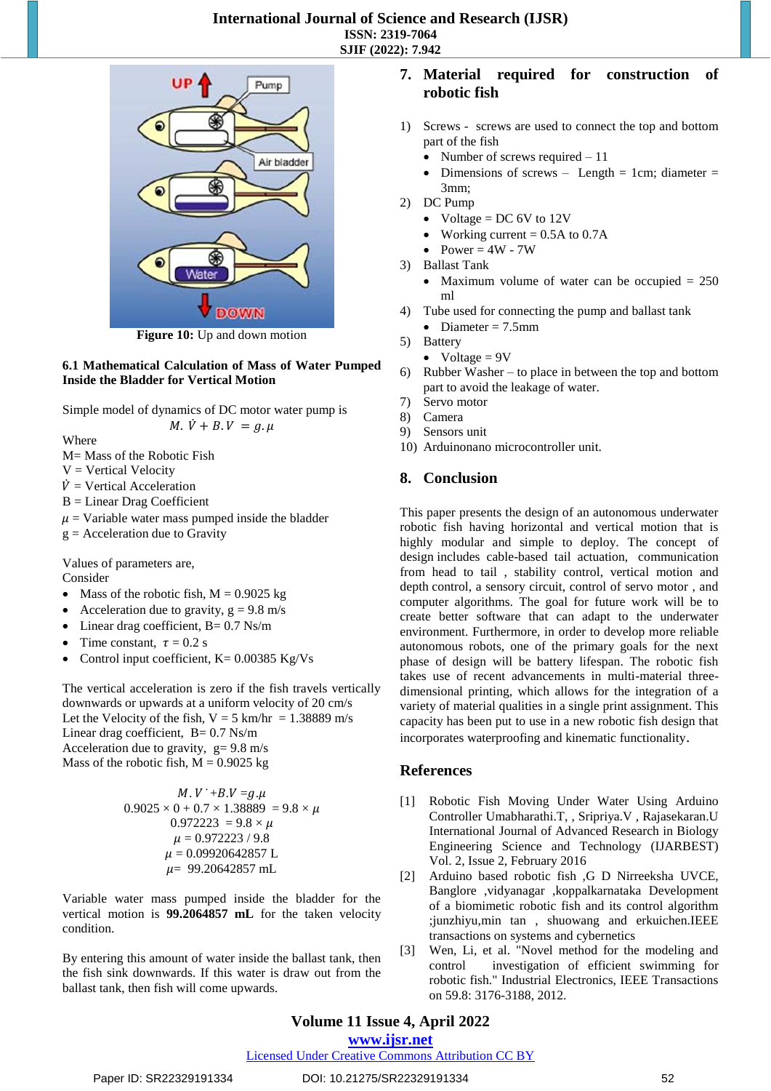

**Figure 10:** Up and down motion

#### **6.1 Mathematical Calculation of Mass of Water Pumped Inside the Bladder for Vertical Motion**

Simple model of dynamics of DC motor water pump is

*M*.  $\dot{V} + B$ .  $V = q$ .  $\mu$ 

Where

M= Mass of the Robotic Fish

- $V = V$ ertical Velocity
- $\dot{V}$  = Vertical Acceleration
- B = Linear Drag Coefficient
- $\mu$  = Variable water mass pumped inside the bladder
- $g =$  Acceleration due to Gravity

Values of parameters are, Consider

- Mass of the robotic fish,  $M = 0.9025$  kg
- Acceleration due to gravity,  $g = 9.8$  m/s
- Linear drag coefficient,  $B = 0.7$  Ns/m
- Time constant,  $\tau = 0.2$  s
- Control input coefficient,  $K = 0.00385$  Kg/Vs

The vertical acceleration is zero if the fish travels vertically downwards or upwards at a uniform velocity of 20 cm/s Let the Velocity of the fish,  $V = 5$  km/hr = 1.38889 m/s Linear drag coefficient,  $B = 0.7$  Ns/m Acceleration due to gravity,  $g = 9.8$  m/s Mass of the robotic fish,  $M = 0.9025$  kg

$$
M. V^{+} + B. V = g. \mu
$$
  
0.9025 × 0 + 0.7 × 1.38889 = 9.8 ×  $\mu$   
0.972223 = 9.8 ×  $\mu$   
 $\mu$  = 0.972223 / 9.8  
 $\mu$  = 0.09920642857 L  
 $\mu$  = 99.20642857 mL

Variable water mass pumped inside the bladder for the vertical motion is **99.2064857 mL** for the taken velocity condition.

By entering this amount of water inside the ballast tank, then the fish sink downwards. If this water is draw out from the ballast tank, then fish will come upwards.

## **7. Material required for construction of robotic fish**

- 1) Screws screws are used to connect the top and bottom part of the fish
	- Number of screws required  $-11$
	- Dimensions of screws Length = 1cm; diameter = 3mm;
- 2) DC Pump
	- Voltage =  $DC 6V$  to 12V
	- Working current  $= 0.5A$  to 0.7A
	- Power  $= 4W 7W$
- 3) Ballast Tank
	- Maximum volume of water can be occupied  $= 250$ ml
- 4) Tube used for connecting the pump and ballast tank
	- Diameter  $= 7.5$ mm
- 5) Battery
	- Voltage  $= 9V$
- 6) Rubber Washer to place in between the top and bottom part to avoid the leakage of water.
- 7) Servo motor
- 8) Camera
- 9) Sensors unit
- 10) Arduinonano microcontroller unit.

# **8. Conclusion**

This paper presents the design of an autonomous underwater robotic fish having horizontal and vertical motion that is highly modular and simple to deploy. The concept of design includes cable-based tail actuation, communication from head to tail , stability control, vertical motion and depth control, a sensory circuit, control of servo motor , and computer algorithms. The goal for future work will be to create better software that can adapt to the underwater environment. Furthermore, in order to develop more reliable autonomous robots, one of the primary goals for the next phase of design will be battery lifespan. The robotic fish takes use of recent advancements in multi-material threedimensional printing, which allows for the integration of a variety of material qualities in a single print assignment. This capacity has been put to use in a new robotic fish design that incorporates waterproofing and kinematic functionality.

## **References**

- [1] Robotic Fish Moving Under Water Using Arduino Controller Umabharathi.T, , Sripriya.V , Rajasekaran.U International Journal of Advanced Research in Biology Engineering Science and Technology (IJARBEST) Vol. 2, Issue 2, February 2016
- [2] Arduino based robotic fish ,G D Nirreeksha UVCE, Banglore ,vidyanagar ,koppalkarnataka Development of a biomimetic robotic fish and its control algorithm ;junzhiyu,min tan , shuowang and erkuichen.IEEE transactions on systems and cybernetics
- [3] Wen, Li, et al. "Novel method for the modeling and control investigation of efficient swimming for robotic fish." Industrial Electronics, IEEE Transactions on 59.8: 3176-3188, 2012.

# **Volume 11 Issue 4, April 2022**

## **www.ijsr.net**

## Licensed Under Creative Commons Attribution CC BY